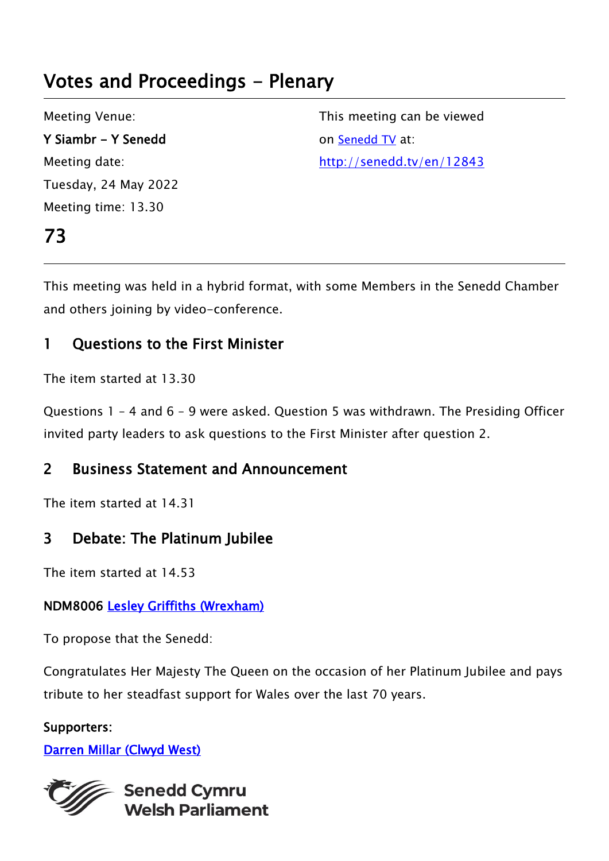# Votes and Proceedings - Plenary

Meeting Venue: Y Siambr - Y Senedd Meeting date: Tuesday, 24 May 2022 Meeting time: 13.30

73

This meeting can be viewed on [Senedd TV](http://senedd.tv/) at: http://senedd.tv/en/12843

This meeting was held in a hybrid format, with some Members in the Senedd Chamber and others joining by video-conference.

### 1 Questions to the First Minister

The item started at 13.30

Questions 1 – 4 and 6 – 9 were asked. Question 5 was withdrawn. The Presiding Officer invited party leaders to ask questions to the First Minister after question 2.

### 2 Business Statement and Announcement

The item started at 14.31

### 3 Debate: The Platinum Jubilee

The item started at 14.53

#### NDM8006 [Lesley Griffiths \(Wrexham\)](https://business.senedd.wales/mgUserInfo.aspx?UID=154)

To propose that the Senedd:

Congratulates Her Majesty The Queen on the occasion of her Platinum Jubilee and pays tribute to her steadfast support for Wales over the last 70 years.

#### Supporters:

#### [Darren Millar \(Clwyd West\)](https://business.senedd.wales/mgUserInfo.aspx?UID=171)



**Senedd Cymru Welsh Parliament**